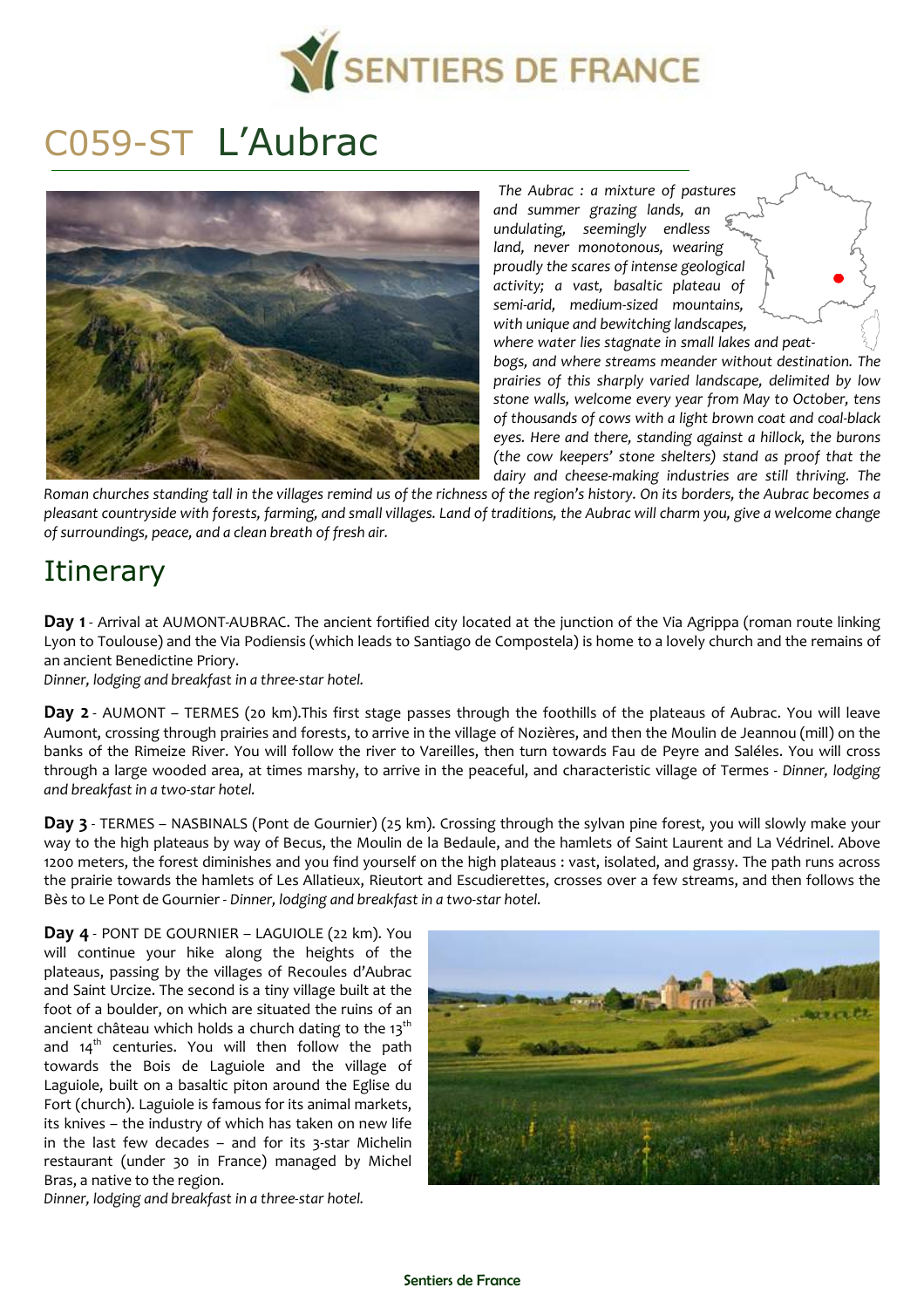

# C059-ST L'Aubrac



*The Aubrac : a mixture of pastures and summer grazing lands, an undulating, seemingly endless land, never monotonous, wearing proudly the scares of intense geological activity; a vast, basaltic plateau of semi-arid, medium-sized mountains, with unique and bewitching landscapes, where water lies stagnate in small lakes and peat-*

*bogs, and where streams meander without destination. The prairies of this sharply varied landscape, delimited by low stone walls, welcome every year from May to October, tens of thousands of cows with a light brown coat and coal-black eyes. Here and there, standing against a hillock, the burons (the cow keepers' stone shelters) stand as proof that the dairy and cheese-making industries are still thriving. The* 

*Roman churches standing tall in the villages remind us of the richness of the region's history. On its borders, the Aubrac becomes a pleasant countryside with forests, farming, and small villages. Land of traditions, the Aubrac will charm you, give a welcome change of surroundings, peace, and a clean breath of fresh air.*

# **Itinerary**

**Day 1** - Arrival at AUMONT-AUBRAC. The ancient fortified city located at the junction of the Via Agrippa (roman route linking Lyon to Toulouse) and the Via Podiensis (which leads to Santiago de Compostela) is home to a lovely church and the remains of an ancient Benedictine Priory.

*Dinner, lodging and breakfast in a three-star hotel.*

**Day 2** - AUMONT – TERMES (20 km).This first stage passes through the foothills of the plateaus of Aubrac. You will leave Aumont, crossing through prairies and forests, to arrive in the village of Nozières, and then the Moulin de Jeannou (mill) on the banks of the Rimeize River. You will follow the river to Vareilles, then turn towards Fau de Peyre and Saléles. You will cross through a large wooded area, at times marshy, to arrive in the peaceful, and characteristic village of Termes - *Dinner, lodging and breakfast in a two-star hotel.*

Day 3 - TERMES – NASBINALS (Pont de Gournier) (25 km). Crossing through the sylvan pine forest, you will slowly make your way to the high plateaus by way of Becus, the Moulin de la Bedaule, and the hamlets of Saint Laurent and La Védrinel. Above 1200 meters, the forest diminishes and you find yourself on the high plateaus : vast, isolated, and grassy. The path runs across the prairie towards the hamlets of Les Allatieux, Rieutort and Escudierettes, crosses over a few streams, and then follows the Bès to Le Pont de Gournier - *Dinner, lodging and breakfast in a two-star hotel.*

**Day 4** - PONT DE GOURNIER – LAGUIOLE (22 km). You will continue your hike along the heights of the plateaus, passing by the villages of Recoules d'Aubrac and Saint Urcize. The second is a tiny village built at the foot of a boulder, on which are situated the ruins of an ancient château which holds a church dating to the  $13<sup>th</sup>$ and  $14<sup>th</sup>$  centuries. You will then follow the path towards the Bois de Laguiole and the village of Laguiole, built on a basaltic piton around the Eglise du Fort (church). Laguiole is famous for its animal markets, its knives – the industry of which has taken on new life in the last few decades – and for its 3-star Michelin restaurant (under 30 in France) managed by Michel Bras, a native to the region.



*Dinner, lodging and breakfast in a three-star hotel.*